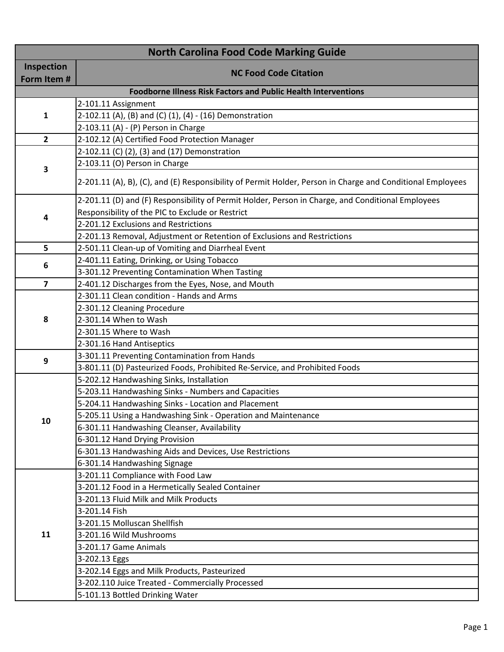| <b>North Carolina Food Code Marking Guide</b> |                                                                                                            |
|-----------------------------------------------|------------------------------------------------------------------------------------------------------------|
| Inspection                                    | <b>NC Food Code Citation</b>                                                                               |
| Form Item #                                   |                                                                                                            |
|                                               | <b>Foodborne Illness Risk Factors and Public Health Interventions</b>                                      |
|                                               | 2-101.11 Assignment                                                                                        |
| 1                                             | 2-102.11 (A), (B) and (C) (1), (4) - (16) Demonstration                                                    |
|                                               | 2-103.11 (A) - (P) Person in Charge                                                                        |
| $\mathbf{2}$                                  | 2-102.12 (A) Certified Food Protection Manager                                                             |
|                                               | 2-102.11 (C) (2), (3) and (17) Demonstration                                                               |
| 3                                             | 2-103.11 (O) Person in Charge                                                                              |
|                                               | 2-201.11 (A), B), (C), and (E) Responsibility of Permit Holder, Person in Charge and Conditional Employees |
|                                               | 2-201.11 (D) and (F) Responsibility of Permit Holder, Person in Charge, and Conditional Employees          |
| 4                                             | Responsibility of the PIC to Exclude or Restrict                                                           |
|                                               | 2-201.12 Exclusions and Restrictions                                                                       |
|                                               | 2-201.13 Removal, Adjustment or Retention of Exclusions and Restrictions                                   |
| 5                                             | 2-501.11 Clean-up of Vomiting and Diarrheal Event                                                          |
| 6                                             | 2-401.11 Eating, Drinking, or Using Tobacco                                                                |
|                                               | 3-301.12 Preventing Contamination When Tasting                                                             |
| $\overline{\mathbf{z}}$                       | 2-401.12 Discharges from the Eyes, Nose, and Mouth                                                         |
|                                               | 2-301.11 Clean condition - Hands and Arms                                                                  |
|                                               | 2-301.12 Cleaning Procedure                                                                                |
| 8                                             | 2-301.14 When to Wash                                                                                      |
|                                               | 2-301.15 Where to Wash                                                                                     |
|                                               | 2-301.16 Hand Antiseptics                                                                                  |
| 9                                             | 3-301.11 Preventing Contamination from Hands                                                               |
|                                               | 3-801.11 (D) Pasteurized Foods, Prohibited Re-Service, and Prohibited Foods                                |
|                                               | 5-202.12 Handwashing Sinks, Installation                                                                   |
|                                               | 5-203.11 Handwashing Sinks - Numbers and Capacities                                                        |
|                                               | 5-204.11 Handwashing Sinks - Location and Placement                                                        |
| 10                                            | 5-205.11 Using a Handwashing Sink - Operation and Maintenance                                              |
|                                               | 6-301.11 Handwashing Cleanser, Availability                                                                |
|                                               | 6-301.12 Hand Drying Provision                                                                             |
|                                               | 6-301.13 Handwashing Aids and Devices, Use Restrictions                                                    |
|                                               | 6-301.14 Handwashing Signage                                                                               |
|                                               | 3-201.11 Compliance with Food Law                                                                          |
|                                               | 3-201.12 Food in a Hermetically Sealed Container                                                           |
|                                               | 3-201.13 Fluid Milk and Milk Products                                                                      |
|                                               | 3-201.14 Fish                                                                                              |
|                                               | 3-201.15 Molluscan Shellfish                                                                               |
| 11                                            | 3-201.16 Wild Mushrooms                                                                                    |
|                                               | 3-201.17 Game Animals                                                                                      |
|                                               | 3-202.13 Eggs                                                                                              |
|                                               | 3-202.14 Eggs and Milk Products, Pasteurized                                                               |
|                                               | 3-202.110 Juice Treated - Commercially Processed                                                           |
|                                               | 5-101.13 Bottled Drinking Water                                                                            |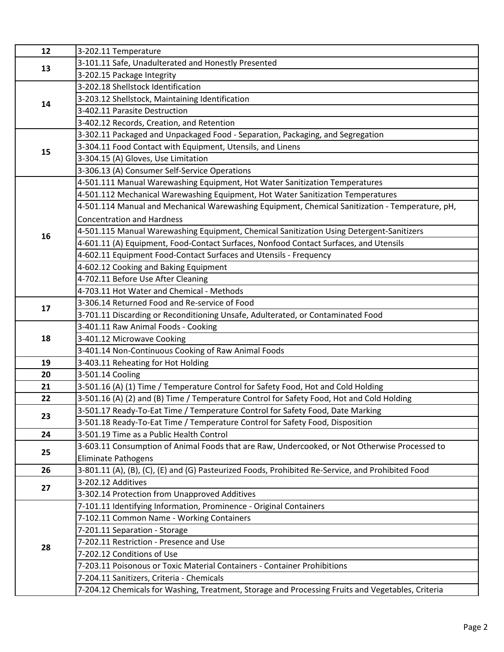| 12 | 3-202.11 Temperature                                                                              |
|----|---------------------------------------------------------------------------------------------------|
| 13 | 3-101.11 Safe, Unadulterated and Honestly Presented                                               |
|    | 3-202.15 Package Integrity                                                                        |
| 14 | 3-202.18 Shellstock Identification                                                                |
|    | 3-203.12 Shellstock, Maintaining Identification                                                   |
|    | 3-402.11 Parasite Destruction                                                                     |
|    | 3-402.12 Records, Creation, and Retention                                                         |
|    | 3-302.11 Packaged and Unpackaged Food - Separation, Packaging, and Segregation                    |
| 15 | 3-304.11 Food Contact with Equipment, Utensils, and Linens                                        |
|    | 3-304.15 (A) Gloves, Use Limitation                                                               |
|    | 3-306.13 (A) Consumer Self-Service Operations                                                     |
|    | 4-501.111 Manual Warewashing Equipment, Hot Water Sanitization Temperatures                       |
|    | 4-501.112 Mechanical Warewashing Equipment, Hot Water Sanitization Temperatures                   |
|    | 4-501.114 Manual and Mechanical Warewashing Equipment, Chemical Sanitization - Temperature, pH,   |
|    | <b>Concentration and Hardness</b>                                                                 |
| 16 | 4-501.115 Manual Warewashing Equipment, Chemical Sanitization Using Detergent-Sanitizers          |
|    | 4-601.11 (A) Equipment, Food-Contact Surfaces, Nonfood Contact Surfaces, and Utensils             |
|    | 4-602.11 Equipment Food-Contact Surfaces and Utensils - Frequency                                 |
|    | 4-602.12 Cooking and Baking Equipment                                                             |
|    | 4-702.11 Before Use After Cleaning                                                                |
|    | 4-703.11 Hot Water and Chemical - Methods                                                         |
|    | 3-306.14 Returned Food and Re-service of Food                                                     |
| 17 | 3-701.11 Discarding or Reconditioning Unsafe, Adulterated, or Contaminated Food                   |
|    | 3-401.11 Raw Animal Foods - Cooking                                                               |
| 18 | 3-401.12 Microwave Cooking                                                                        |
|    | 3-401.14 Non-Continuous Cooking of Raw Animal Foods                                               |
| 19 | 3-403.11 Reheating for Hot Holding                                                                |
| 20 | 3-501.14 Cooling                                                                                  |
| 21 | 3-501.16 (A) (1) Time / Temperature Control for Safety Food, Hot and Cold Holding                 |
| 22 | 3-501.16 (A) (2) and (B) Time / Temperature Control for Safety Food, Hot and Cold Holding         |
| 23 | 3-501.17 Ready-To-Eat Time / Temperature Control for Safety Food, Date Marking                    |
|    | 3-501.18 Ready-To-Eat Time / Temperature Control for Safety Food, Disposition                     |
| 24 | 3-501.19 Time as a Public Health Control                                                          |
| 25 | 3-603.11 Consumption of Animal Foods that are Raw, Undercooked, or Not Otherwise Processed to     |
|    | <b>Eliminate Pathogens</b>                                                                        |
| 26 | 3-801.11 (A), (B), (C), (E) and (G) Pasteurized Foods, Prohibited Re-Service, and Prohibited Food |
| 27 | 3-202.12 Additives                                                                                |
|    | 3-302.14 Protection from Unapproved Additives                                                     |
|    | 7-101.11 Identifying Information, Prominence - Original Containers                                |
| 28 | 7-102.11 Common Name - Working Containers                                                         |
|    | 7-201.11 Separation - Storage                                                                     |
|    | 7-202.11 Restriction - Presence and Use                                                           |
|    | 7-202.12 Conditions of Use                                                                        |
|    | 7-203.11 Poisonous or Toxic Material Containers - Container Prohibitions                          |
|    | 7-204.11 Sanitizers, Criteria - Chemicals                                                         |
|    | 7-204.12 Chemicals for Washing, Treatment, Storage and Processing Fruits and Vegetables, Criteria |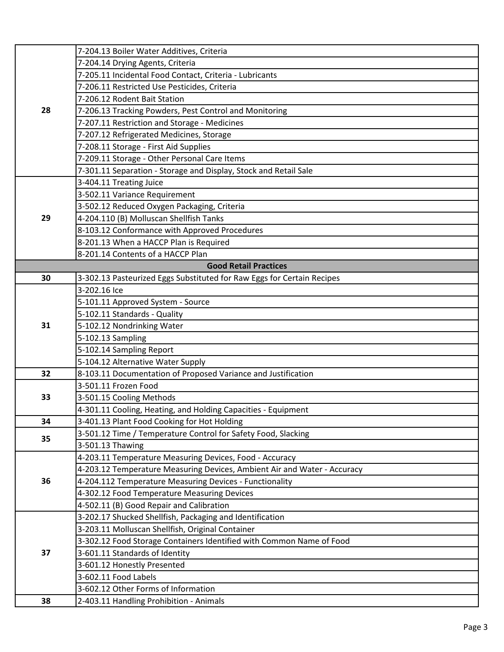|    | 7-204.13 Boiler Water Additives, Criteria                                |
|----|--------------------------------------------------------------------------|
|    | 7-204.14 Drying Agents, Criteria                                         |
|    | 7-205.11 Incidental Food Contact, Criteria - Lubricants                  |
|    | 7-206.11 Restricted Use Pesticides, Criteria                             |
|    | 7-206.12 Rodent Bait Station                                             |
| 28 | 7-206.13 Tracking Powders, Pest Control and Monitoring                   |
|    | 7-207.11 Restriction and Storage - Medicines                             |
|    | 7-207.12 Refrigerated Medicines, Storage                                 |
|    | 7-208.11 Storage - First Aid Supplies                                    |
|    | 7-209.11 Storage - Other Personal Care Items                             |
|    | 7-301.11 Separation - Storage and Display, Stock and Retail Sale         |
|    | 3-404.11 Treating Juice                                                  |
|    | 3-502.11 Variance Requirement                                            |
|    | 3-502.12 Reduced Oxygen Packaging, Criteria                              |
| 29 | 4-204.110 (B) Molluscan Shellfish Tanks                                  |
|    | 8-103.12 Conformance with Approved Procedures                            |
|    | 8-201.13 When a HACCP Plan is Required                                   |
|    | 8-201.14 Contents of a HACCP Plan                                        |
|    | <b>Good Retail Practices</b>                                             |
| 30 | 3-302.13 Pasteurized Eggs Substituted for Raw Eggs for Certain Recipes   |
|    | 3-202.16 Ice                                                             |
|    | 5-101.11 Approved System - Source                                        |
|    | 5-102.11 Standards - Quality                                             |
| 31 | 5-102.12 Nondrinking Water                                               |
|    | 5-102.13 Sampling                                                        |
|    | 5-102.14 Sampling Report                                                 |
|    | 5-104.12 Alternative Water Supply                                        |
| 32 | 8-103.11 Documentation of Proposed Variance and Justification            |
|    | 3-501.11 Frozen Food                                                     |
| 33 | 3-501.15 Cooling Methods                                                 |
|    | 4-301.11 Cooling, Heating, and Holding Capacities - Equipment            |
| 34 | 3-401.13 Plant Food Cooking for Hot Holding                              |
|    | 3-501.12 Time / Temperature Control for Safety Food, Slacking            |
| 35 | 3-501.13 Thawing                                                         |
|    | 4-203.11 Temperature Measuring Devices, Food - Accuracy                  |
|    | 4-203.12 Temperature Measuring Devices, Ambient Air and Water - Accuracy |
| 36 | 4-204.112 Temperature Measuring Devices - Functionality                  |
|    | 4-302.12 Food Temperature Measuring Devices                              |
|    | 4-502.11 (B) Good Repair and Calibration                                 |
|    | 3-202.17 Shucked Shellfish, Packaging and Identification                 |
|    | 3-203.11 Molluscan Shellfish, Original Container                         |
| 37 | 3-302.12 Food Storage Containers Identified with Common Name of Food     |
|    | 3-601.11 Standards of Identity                                           |
|    | 3-601.12 Honestly Presented                                              |
|    | 3-602.11 Food Labels                                                     |
|    | 3-602.12 Other Forms of Information                                      |
| 38 | 2-403.11 Handling Prohibition - Animals                                  |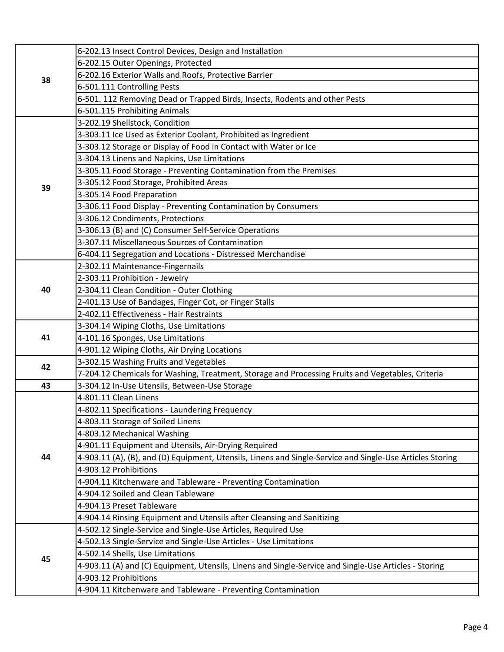| 38 | 6-202.13 Insect Control Devices, Design and Installation                                                  |
|----|-----------------------------------------------------------------------------------------------------------|
|    | 6-202.15 Outer Openings, Protected                                                                        |
|    | 6-202.16 Exterior Walls and Roofs, Protective Barrier                                                     |
|    | 6-501.111 Controlling Pests                                                                               |
|    | 6-501. 112 Removing Dead or Trapped Birds, Insects, Rodents and other Pests                               |
|    | 6-501.115 Prohibiting Animals                                                                             |
|    | 3-202.19 Shellstock, Condition                                                                            |
|    | 3-303.11 Ice Used as Exterior Coolant, Prohibited as Ingredient                                           |
|    | 3-303.12 Storage or Display of Food in Contact with Water or Ice                                          |
|    | 3-304.13 Linens and Napkins, Use Limitations                                                              |
|    | 3-305.11 Food Storage - Preventing Contamination from the Premises                                        |
|    | 3-305.12 Food Storage, Prohibited Areas                                                                   |
| 39 | 3-305.14 Food Preparation                                                                                 |
|    | 3-306.11 Food Display - Preventing Contamination by Consumers                                             |
|    | 3-306.12 Condiments, Protections                                                                          |
|    | 3-306.13 (B) and (C) Consumer Self-Service Operations                                                     |
|    | 3-307.11 Miscellaneous Sources of Contamination                                                           |
|    | 6-404.11 Segregation and Locations - Distressed Merchandise                                               |
|    | 2-302.11 Maintenance-Fingernails                                                                          |
|    | 2-303.11 Prohibition - Jewelry                                                                            |
| 40 | 2-304.11 Clean Condition - Outer Clothing                                                                 |
|    | 2-401.13 Use of Bandages, Finger Cot, or Finger Stalls                                                    |
|    | 2-402.11 Effectiveness - Hair Restraints                                                                  |
|    | 3-304.14 Wiping Cloths, Use Limitations                                                                   |
| 41 | 4-101.16 Sponges, Use Limitations                                                                         |
|    | 4-901.12 Wiping Cloths, Air Drying Locations                                                              |
| 42 | 3-302.15 Washing Fruits and Vegetables                                                                    |
|    | 7-204.12 Chemicals for Washing, Treatment, Storage and Processing Fruits and Vegetables, Criteria         |
| 43 | 3-304.12 In-Use Utensils, Between-Use Storage                                                             |
|    | 4-801.11 Clean Linens                                                                                     |
|    | 4-802.11 Specifications - Laundering Frequency                                                            |
|    | 4-803.11 Storage of Soiled Linens                                                                         |
|    | 4-803.12 Mechanical Washing                                                                               |
|    | 4-901.11 Equipment and Utensils, Air-Drying Required                                                      |
| 44 | 4-903.11 (A), (B), and (D) Equipment, Utensils, Linens and Single-Service and Single-Use Articles Storing |
|    | 4-903.12 Prohibitions                                                                                     |
|    | 4-904.11 Kitchenware and Tableware - Preventing Contamination                                             |
|    | 4-904.12 Soiled and Clean Tableware                                                                       |
|    | 4-904.13 Preset Tableware                                                                                 |
|    | 4-904.14 Rinsing Equipment and Utensils after Cleansing and Sanitizing                                    |
|    | 4-502.12 Single-Service and Single-Use Articles, Required Use                                             |
|    | 4-502.13 Single-Service and Single-Use Articles - Use Limitations                                         |
| 45 | 4-502.14 Shells, Use Limitations                                                                          |
|    | 4-903.11 (A) and (C) Equipment, Utensils, Linens and Single-Service and Single-Use Articles - Storing     |
|    | 4-903.12 Prohibitions                                                                                     |
|    | 4-904.11 Kitchenware and Tableware - Preventing Contamination                                             |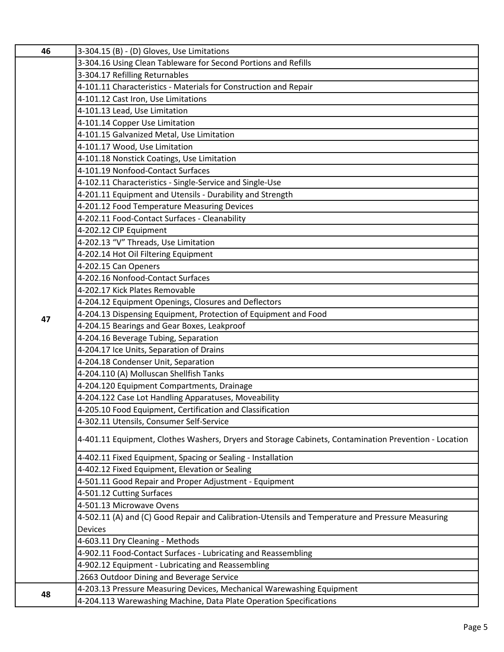| 46 | 3-304.15 (B) - (D) Gloves, Use Limitations                                                            |
|----|-------------------------------------------------------------------------------------------------------|
|    | 3-304.16 Using Clean Tableware for Second Portions and Refills                                        |
|    | 3-304.17 Refilling Returnables                                                                        |
|    | 4-101.11 Characteristics - Materials for Construction and Repair                                      |
|    | 4-101.12 Cast Iron, Use Limitations                                                                   |
|    | 4-101.13 Lead, Use Limitation                                                                         |
|    | 4-101.14 Copper Use Limitation                                                                        |
|    | 4-101.15 Galvanized Metal, Use Limitation                                                             |
|    | 4-101.17 Wood, Use Limitation                                                                         |
|    | 4-101.18 Nonstick Coatings, Use Limitation                                                            |
|    | 4-101.19 Nonfood-Contact Surfaces                                                                     |
|    | 4-102.11 Characteristics - Single-Service and Single-Use                                              |
|    | 4-201.11 Equipment and Utensils - Durability and Strength                                             |
|    | 4-201.12 Food Temperature Measuring Devices                                                           |
|    | 4-202.11 Food-Contact Surfaces - Cleanability                                                         |
|    | 4-202.12 CIP Equipment                                                                                |
|    | 4-202.13 "V" Threads, Use Limitation                                                                  |
|    | 4-202.14 Hot Oil Filtering Equipment                                                                  |
|    | 4-202.15 Can Openers                                                                                  |
|    | 4-202.16 Nonfood-Contact Surfaces                                                                     |
|    | 4-202.17 Kick Plates Removable                                                                        |
|    | 4-204.12 Equipment Openings, Closures and Deflectors                                                  |
| 47 | 4-204.13 Dispensing Equipment, Protection of Equipment and Food                                       |
|    | 4-204.15 Bearings and Gear Boxes, Leakproof                                                           |
|    | 4-204.16 Beverage Tubing, Separation                                                                  |
|    | 4-204.17 Ice Units, Separation of Drains                                                              |
|    | 4-204.18 Condenser Unit, Separation                                                                   |
|    | 4-204.110 (A) Molluscan Shellfish Tanks                                                               |
|    | 4-204.120 Equipment Compartments, Drainage                                                            |
|    | 4-204.122 Case Lot Handling Apparatuses, Moveability                                                  |
|    | 4-205.10 Food Equipment, Certification and Classification                                             |
|    | 4-302.11 Utensils, Consumer Self-Service                                                              |
|    | 4-401.11 Equipment, Clothes Washers, Dryers and Storage Cabinets, Contamination Prevention - Location |
|    | 4-402.11 Fixed Equipment, Spacing or Sealing - Installation                                           |
|    | 4-402.12 Fixed Equipment, Elevation or Sealing                                                        |
|    | 4-501.11 Good Repair and Proper Adjustment - Equipment                                                |
|    | 4-501.12 Cutting Surfaces                                                                             |
|    | 4-501.13 Microwave Ovens                                                                              |
|    | 4-502.11 (A) and (C) Good Repair and Calibration-Utensils and Temperature and Pressure Measuring      |
|    | <b>Devices</b>                                                                                        |
|    | 4-603.11 Dry Cleaning - Methods                                                                       |
|    | 4-902.11 Food-Contact Surfaces - Lubricating and Reassembling                                         |
|    | 4-902.12 Equipment - Lubricating and Reassembling                                                     |
|    | 2663 Outdoor Dining and Beverage Service                                                              |
| 48 | 4-203.13 Pressure Measuring Devices, Mechanical Warewashing Equipment                                 |
|    | 4-204.113 Warewashing Machine, Data Plate Operation Specifications                                    |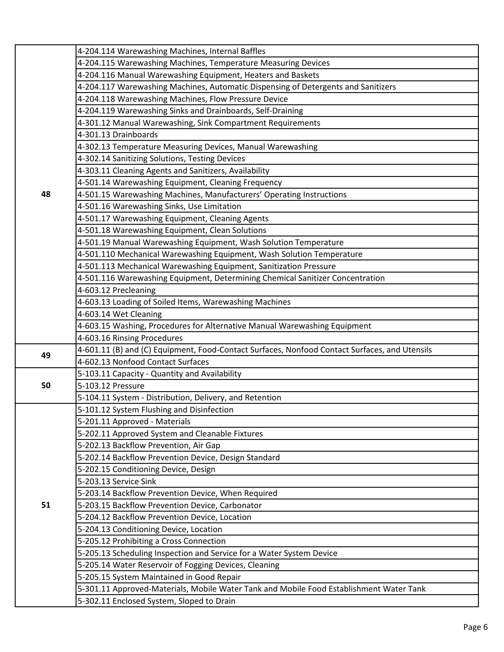|    | 4-204.114 Warewashing Machines, Internal Baffles                                              |
|----|-----------------------------------------------------------------------------------------------|
|    | 4-204.115 Warewashing Machines, Temperature Measuring Devices                                 |
|    | 4-204.116 Manual Warewashing Equipment, Heaters and Baskets                                   |
|    | 4-204.117 Warewashing Machines, Automatic Dispensing of Detergents and Sanitizers             |
|    | 4-204.118 Warewashing Machines, Flow Pressure Device                                          |
|    | 4-204.119 Warewashing Sinks and Drainboards, Self-Draining                                    |
|    | 4-301.12 Manual Warewashing, Sink Compartment Requirements                                    |
|    | 4-301.13 Drainboards                                                                          |
|    | 4-302.13 Temperature Measuring Devices, Manual Warewashing                                    |
|    | 4-302.14 Sanitizing Solutions, Testing Devices                                                |
|    | 4-303.11 Cleaning Agents and Sanitizers, Availability                                         |
|    | 4-501.14 Warewashing Equipment, Cleaning Frequency                                            |
| 48 | 4-501.15 Warewashing Machines, Manufacturers' Operating Instructions                          |
|    | 4-501.16 Warewashing Sinks, Use Limitation                                                    |
|    | 4-501.17 Warewashing Equipment, Cleaning Agents                                               |
|    | 4-501.18 Warewashing Equipment, Clean Solutions                                               |
|    | 4-501.19 Manual Warewashing Equipment, Wash Solution Temperature                              |
|    | 4-501.110 Mechanical Warewashing Equipment, Wash Solution Temperature                         |
|    | 4-501.113 Mechanical Warewashing Equipment, Sanitization Pressure                             |
|    | 4-501.116 Warewashing Equipment, Determining Chemical Sanitizer Concentration                 |
|    | 4-603.12 Precleaning                                                                          |
|    | 4-603.13 Loading of Soiled Items, Warewashing Machines                                        |
|    | 4-603.14 Wet Cleaning                                                                         |
|    | 4-603.15 Washing, Procedures for Alternative Manual Warewashing Equipment                     |
|    | 4-603.16 Rinsing Procedures                                                                   |
| 49 | 4-601.11 (B) and (C) Equipment, Food-Contact Surfaces, Nonfood Contact Surfaces, and Utensils |
|    | 4-602.13 Nonfood Contact Surfaces                                                             |
|    | 5-103.11 Capacity - Quantity and Availability                                                 |
| 50 | 5-103.12 Pressure                                                                             |
|    | 5-104.11 System - Distribution, Delivery, and Retention                                       |
|    | 5-101.12 System Flushing and Disinfection                                                     |
|    | 5-201.11 Approved - Materials                                                                 |
|    | 5-202.11 Approved System and Cleanable Fixtures                                               |
|    | 5-202.13 Backflow Prevention, Air Gap                                                         |
|    | 5-202.14 Backflow Prevention Device, Design Standard                                          |
|    | 5-202.15 Conditioning Device, Design                                                          |
|    | 5-203.13 Service Sink                                                                         |
|    | 5-203.14 Backflow Prevention Device, When Required                                            |
| 51 | 5-203.15 Backflow Prevention Device, Carbonator                                               |
|    | 5-204.12 Backflow Prevention Device, Location                                                 |
|    | 5-204.13 Conditioning Device, Location                                                        |
|    | 5-205.12 Prohibiting a Cross Connection                                                       |
|    | 5-205.13 Scheduling Inspection and Service for a Water System Device                          |
|    | 5-205.14 Water Reservoir of Fogging Devices, Cleaning                                         |
|    | 5-205.15 System Maintained in Good Repair                                                     |
|    | 5-301.11 Approved-Materials, Mobile Water Tank and Mobile Food Establishment Water Tank       |
|    | 5-302.11 Enclosed System, Sloped to Drain                                                     |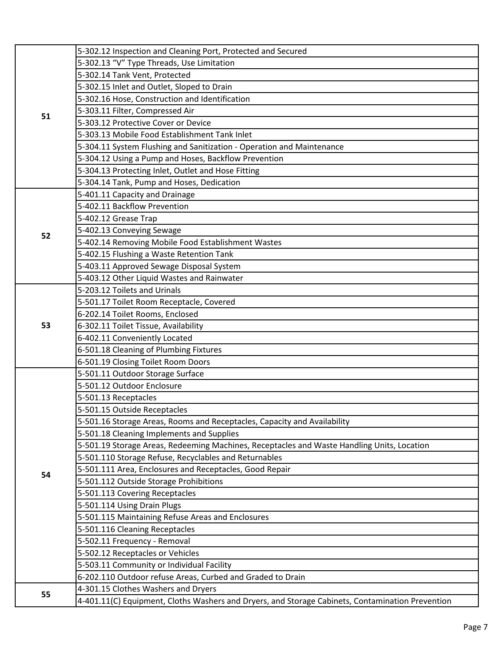|    | 5-302.12 Inspection and Cleaning Port, Protected and Secured                                     |
|----|--------------------------------------------------------------------------------------------------|
|    | 5-302.13 "V" Type Threads, Use Limitation                                                        |
|    | 5-302.14 Tank Vent, Protected                                                                    |
|    | 5-302.15 Inlet and Outlet, Sloped to Drain                                                       |
|    | 5-302.16 Hose, Construction and Identification                                                   |
| 51 | 5-303.11 Filter, Compressed Air                                                                  |
|    | 5-303.12 Protective Cover or Device                                                              |
|    | 5-303.13 Mobile Food Establishment Tank Inlet                                                    |
|    | 5-304.11 System Flushing and Sanitization - Operation and Maintenance                            |
|    | 5-304.12 Using a Pump and Hoses, Backflow Prevention                                             |
|    | 5-304.13 Protecting Inlet, Outlet and Hose Fitting                                               |
|    | 5-304.14 Tank, Pump and Hoses, Dedication                                                        |
|    | 5-401.11 Capacity and Drainage                                                                   |
|    | 5-402.11 Backflow Prevention                                                                     |
|    | 5-402.12 Grease Trap                                                                             |
| 52 | 5-402.13 Conveying Sewage                                                                        |
|    | 5-402.14 Removing Mobile Food Establishment Wastes                                               |
|    | 5-402.15 Flushing a Waste Retention Tank                                                         |
|    | 5-403.11 Approved Sewage Disposal System                                                         |
|    | 5-403.12 Other Liquid Wastes and Rainwater                                                       |
|    | 5-203.12 Toilets and Urinals                                                                     |
|    | 5-501.17 Toilet Room Receptacle, Covered                                                         |
|    | 6-202.14 Toilet Rooms, Enclosed                                                                  |
| 53 | 6-302.11 Toilet Tissue, Availability                                                             |
|    | 6-402.11 Conveniently Located                                                                    |
|    | 6-501.18 Cleaning of Plumbing Fixtures                                                           |
|    | 6-501.19 Closing Toilet Room Doors                                                               |
|    | 5-501.11 Outdoor Storage Surface                                                                 |
|    | 5-501.12 Outdoor Enclosure                                                                       |
|    | 5-501.13 Receptacles                                                                             |
|    | 5-501.15 Outside Receptacles                                                                     |
|    | 5-501.16 Storage Areas, Rooms and Receptacles, Capacity and Availability                         |
|    | 5-501.18 Cleaning Implements and Supplies                                                        |
|    | 5-501.19 Storage Areas, Redeeming Machines, Receptacles and Waste Handling Units, Location       |
|    | 5-501.110 Storage Refuse, Recyclables and Returnables                                            |
| 54 | 5-501.111 Area, Enclosures and Receptacles, Good Repair                                          |
|    | 5-501.112 Outside Storage Prohibitions                                                           |
|    | 5-501.113 Covering Receptacles                                                                   |
|    | 5-501.114 Using Drain Plugs                                                                      |
|    | 5-501.115 Maintaining Refuse Areas and Enclosures                                                |
|    | 5-501.116 Cleaning Receptacles                                                                   |
|    | 5-502.11 Frequency - Removal                                                                     |
|    | 5-502.12 Receptacles or Vehicles                                                                 |
|    | 5-503.11 Community or Individual Facility                                                        |
| 55 | 6-202.110 Outdoor refuse Areas, Curbed and Graded to Drain                                       |
|    | 4-301.15 Clothes Washers and Dryers                                                              |
|    | 4-401.11(C) Equipment, Cloths Washers and Dryers, and Storage Cabinets, Contamination Prevention |